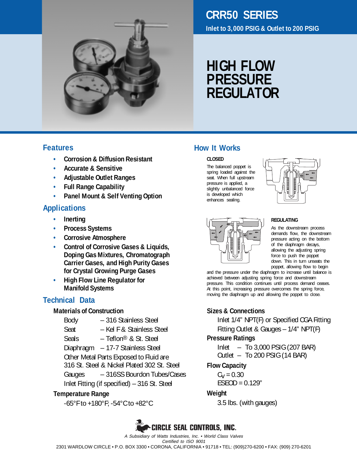

## **CRR50 SERIES Inlet to 3,000 PSIG & Outlet to 200 PSIG**

# **HIGH FLOW PRESSURE REGULATOR**

**CLOSED**

**How It Works**

The balanced poppet is spring loaded against the seat. When full upstream pressure is applied, a slightly unbalanced force is developed which enhances sealing.

### **Features**

- **• Corrosion & Diffusion Resistant**
- **• Accurate & Sensitive**
- **• Adjustable Outlet Ranges**
- **• Full Range Capability**
- **• Panel Mount & Self Venting Option**

## **Applications**

- **• Inerting**
- **• Process Systems**
- **• Corrosive Atmosphere**
- **• Control of Corrosive Gases & Liquids, Doping Gas Mixtures, Chromatograph Carrier Gases, and High Purity Gases for Crystal Growing Purge Gases**
- **• High Flow Line Regulator for Manifold Systems**

## **Technical Data**

### **Materials of Construction**

Body – 316 Stainless Steel Seat - Kel F & Stainless Steel Seals – Teflon<sup>®</sup> & St. Steel Diaphragm – 17-7 Stainless Steel Other Metal Parts Exposed to Fluid are 316 St. Steel & Nickel Plated 302 St. Steel Gauges – 316SS Bourdon Tubes/Cases Inlet Fitting (if specified) – 316 St. Steel

### **Temperature Range**

-65°F to +180°F; -54°C to +82°C



A Subsidiary of Watts Industries, Inc. • World Class Valves

2301 WARDLOW CIRCLE • P.O. BOX 3300 • CORONA, CALIFORNIA • 91718 • TEL: (909)270-6200 • FAX: (909) 270-6201

## **REGULATING**



and the pressure under the diaphragm to increase until balance is achieved between adjusting spring force and downstream pressure. This condition continues until process demand ceases. At this point, increasing pressure overcomes the spring force, moving the diaphragm up and allowing the poppet to close.

### **Sizes & Connections**

Inlet 1/4" NPT(F) or Specified CGA Fitting Fitting Outlet & Gauges – 1/4" NPT(F)

#### **Pressure Ratings**

Inlet – To 3,000 PSIG (207 BAR) Outlet – To 200 PSIG (14 BAR)

### **Flow Capacity**

 $C_V = 0.30$  $FSPOD = 0.129"$ 

### **Weight**

3.5 lbs. (with gauges)

Certified to ISO 9001